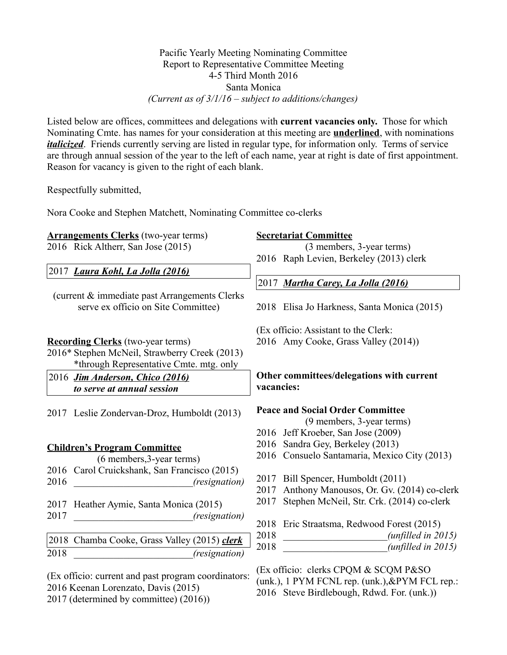# Pacific Yearly Meeting Nominating Committee Report to Representative Committee Meeting 4-5 Third Month 2016 Santa Monica *(Current as of 3/1/16 – subject to additions/changes)*

Listed below are offices, committees and delegations with **current vacancies only.** Those for which Nominating Cmte. has names for your consideration at this meeting are **underlined**, with nominations *italicized*. Friends currently serving are listed in regular type, for information only. Terms of service are through annual session of the year to the left of each name, year at right is date of first appointment. Reason for vacancy is given to the right of each blank.

Respectfully submitted,

Nora Cooke and Stephen Matchett, Nominating Committee co-clerks

**Arrangements Clerks** (two-year terms) 2016 Rick Altherr, San Jose (2015)

(current & immediate past Arrangements Clerks serve ex officio on Site Committee)

2016\* Stephen McNeil, Strawberry Creek (2013)

2017 Leslie Zondervan-Droz, Humboldt (2013)

\*through Representative Cmte. mtg. only

2017 *Laura Kohl, La Jolla (2016)*

**Recording Clerks** (two-year terms)

2016 *Jim Anderson, Chico (2016) to serve at annual session*

## **Secretariat Committee**

(3 members, 3-year terms) 2016 Raph Levien, Berkeley (2013) clerk

2017 *Martha Carey, La Jolla (2016)*

2018 Elisa Jo Harkness, Santa Monica (2015)

(Ex officio: Assistant to the Clerk:

2016 Amy Cooke, Grass Valley (2014))

# **Other committees/delegations with current vacancies:**

## **Peace and Social Order Committee**

(9 members, 3-year terms)

- 2016 Jeff Kroeber, San Jose (2009)
- 2016 Sandra Gey, Berkeley (2013)
- 2016 Consuelo Santamaria, Mexico City (2013)
- 2017 Bill Spencer, Humboldt (2011)
- 2017 Anthony Manousos, Or. Gv. (2014) co-clerk
- 2017 Stephen McNeil, Str. Crk. (2014) co-clerk
- 2018 Eric Straatsma, Redwood Forest (2015)
- 2018 \_\_\_\_\_\_\_\_\_\_\_\_\_\_\_\_\_\_\_\_\_*(unfilled in 2015)* 2018 \_\_\_\_\_\_\_\_\_\_\_\_\_\_\_\_\_\_\_\_\_*(unfilled in 2015)*

(Ex officio: clerks CPQM & SCQM P&SO (unk.), 1 PYM FCNL rep. (unk.),&PYM FCL rep.: 2016 Steve Birdlebough, Rdwd. For. (unk.))

**Children's Program Committee** (6 members,3-year terms) Carol Cruickshank, San Francisco (2015) \_\_\_\_\_\_\_\_\_\_\_\_\_\_\_\_\_\_\_\_\_\_\_\_*(resignation)* Heather Aymie, Santa Monica (2015) \_\_\_\_\_\_\_\_\_\_\_\_\_\_\_\_\_\_\_\_\_\_*\_\_(resignation)* Chamba Cooke, Grass Valley (2015) *clerk* \_\_\_\_\_\_\_\_\_\_\_\_\_\_\_\_\_\_\_\_\_\_*\_\_(resignation)*

(Ex officio: current and past program coordinators: 2016 Keenan Lorenzato, Davis (2015) 2017 (determined by committee) (2016))